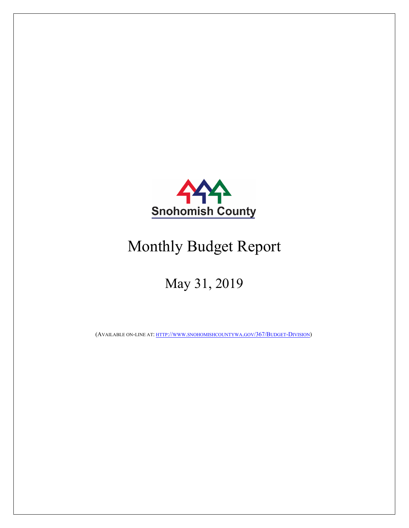

# Monthly Budget Report

## May 31, 2019

(AVAILABLE ON-LINE AT: HTTP://WWW.SNOHOMISHCOUNTYWA.GOV/367/BUDGET-DIVISION)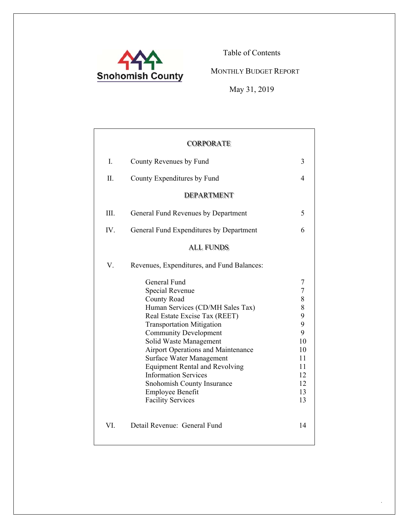

Table of Contents

MONTHLY BUDGET REPORT

May 31, 2019

.

|      | <b>CORPORATE</b>                                                                                                                                                                                                                                                                                                                                                                                                                                        |                                                                                              |
|------|---------------------------------------------------------------------------------------------------------------------------------------------------------------------------------------------------------------------------------------------------------------------------------------------------------------------------------------------------------------------------------------------------------------------------------------------------------|----------------------------------------------------------------------------------------------|
| I.   | County Revenues by Fund                                                                                                                                                                                                                                                                                                                                                                                                                                 | 3                                                                                            |
| Π.   | County Expenditures by Fund                                                                                                                                                                                                                                                                                                                                                                                                                             | 4                                                                                            |
|      | <b>DEPARTMENT</b>                                                                                                                                                                                                                                                                                                                                                                                                                                       |                                                                                              |
| III. | General Fund Revenues by Department                                                                                                                                                                                                                                                                                                                                                                                                                     | 5                                                                                            |
| IV.  | General Fund Expenditures by Department                                                                                                                                                                                                                                                                                                                                                                                                                 | 6                                                                                            |
|      | <b>ALL FUNDS</b>                                                                                                                                                                                                                                                                                                                                                                                                                                        |                                                                                              |
| V.   | Revenues, Expenditures, and Fund Balances:                                                                                                                                                                                                                                                                                                                                                                                                              |                                                                                              |
|      | General Fund<br>Special Revenue<br>County Road<br>Human Services (CD/MH Sales Tax)<br>Real Estate Excise Tax (REET)<br><b>Transportation Mitigation</b><br><b>Community Development</b><br>Solid Waste Management<br><b>Airport Operations and Maintenance</b><br>Surface Water Management<br><b>Equipment Rental and Revolving</b><br><b>Information Services</b><br>Snohomish County Insurance<br><b>Employee Benefit</b><br><b>Facility Services</b> | 7<br>$\overline{7}$<br>8<br>8<br>9<br>9<br>9<br>10<br>10<br>11<br>11<br>12<br>12<br>13<br>13 |
| VI.  | Detail Revenue: General Fund                                                                                                                                                                                                                                                                                                                                                                                                                            | 14                                                                                           |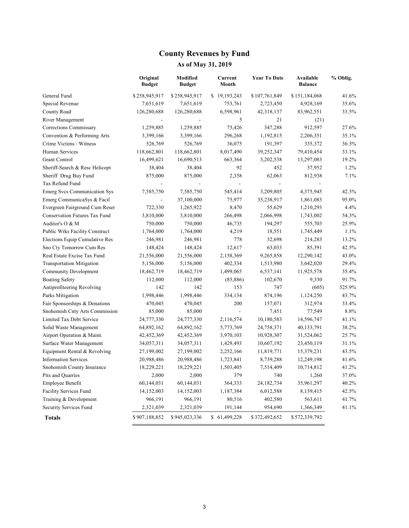### **County Revenues by Fund**

|                                       | Original<br><b>Budget</b> | <b>Modified</b><br><b>Budget</b> | Current<br>Month | <b>Year To Date</b> | Available<br><b>Balance</b> | % Oblig. |
|---------------------------------------|---------------------------|----------------------------------|------------------|---------------------|-----------------------------|----------|
| General Fund                          | \$258,945,917             | \$258,945,917                    | \$19,193,243     | \$107,761,849       | \$151,184,068               | 41.6%    |
| Special Revenue                       | 7,651,619                 | 7,651,619                        | 753,761          | 2,723,450           | 4,928,169                   | 35.6%    |
| County Road                           | 126,280,688               | 126,280,688                      | 6,598,961        | 42,318,137          | 83,962,551                  | 33.5%    |
| River Management                      |                           |                                  | 5                | 21                  | (21)                        |          |
| Corrections Commissary                | 1,259,885                 | 1,259,885                        | 75,426           | 347,288             | 912,597                     | 27.6%    |
| Convention & Performing Arts          | 3,399,166                 | 3,399,166                        | 296,268          | 1,192,815           | 2,206,351                   | 35.1%    |
| Crime Victims / Witness               | 526,769                   | 526,769                          | 36,075           | 191,397             | 335,372                     | 36.3%    |
| Human Services                        | 118,662,801               | 118,662,801                      | 8,017,490        | 39,252,347          | 79,410,454                  | 33.1%    |
| Grant Control                         | 16,499,621                | 16,690,513                       | 663,364          | 3,202,538           | 13,297,083                  | 19.2%    |
| Sheriff-Search & Resc Helicopt        | 38,404                    | 38,404                           | 92               | 452                 | 37,952                      | 1.2%     |
| Sheriff Drug Buy Fund                 | 875,000                   | 875,000                          | 2,358            | 62,063              | 812,938                     | 7.1%     |
| Tax Refund Fund                       |                           |                                  |                  |                     |                             |          |
| Emerg Svcs Communication Sys          | 7,585,750                 | 7,585,750                        | 545,414          | 3,209,805           | 4,375,945                   | 42.3%    |
| Emerg CommunicaSys & Facil            |                           | 37,100,000                       | 75,977           | 35,238,917          | 1,861,083                   | 95.0%    |
| Evergreen Fairground Cum Reser        | 722,330                   | 1,265,922                        | 8,470            | 55,629              | 1,210,293                   | 4.4%     |
| Conservation Futures Tax Fund         | 3,810,000                 | 3,810,000                        | 266,498          | 2,066,998           | 1,743,002                   | 54.3%    |
| Auditor's O & M                       | 750,000                   | 750,000                          | 46,735           | 194,297             | 555,703                     | 25.9%    |
| <b>Public Wrks Facility Construct</b> | 1,764,000                 | 1,764,000                        | 4,219            | 18,551              | 1,745,449                   | 1.1%     |
| Elections Equip Cumulative Res        | 246,981                   | 246,981                          | 778              | 32,698              | 214,283                     | 13.2%    |
| Sno Cty Tomorrow Cum Res              | 148,424                   | 148,424                          | 12,617           | 63,033              | 85,391                      | 42.5%    |
| Real Estate Excise Tax Fund           | 21,556,000                | 21,556,000                       | 2,158,369        | 9,265,858           | 12,290,142                  | 43.0%    |
| <b>Transportation Mitigation</b>      | 5,156,000                 | 5,156,000                        | 402,334          | 1,513,980           | 3,642,020                   | 29.4%    |
| <b>Community Development</b>          | 18,462,719                | 18,462,719                       | 1,499,065        | 6,537,141           | 11,925,578                  | 35.4%    |
| <b>Boating Safety</b>                 | 112,000                   | 112,000                          | (85, 886)        | 102,670             | 9,330                       | 91.7%    |
| Antiprofiteering Revolving            | 142                       | 142                              | 153              | 747                 | (605)                       | 525.9%   |
| Parks Mitigation                      | 1,998,446                 | 1,998,446                        | 334,134          | 874,196             | 1,124,250                   | 43.7%    |
| Fair Sponsorships & Donations         | 470,045                   | 470,045                          | 200              | 157,071             | 312,974                     | 33.4%    |
| Snohomish Cnty Arts Commission        | 85,000                    | 85,000                           |                  | 7,451               | 77,549                      | 8.8%     |
| Limited Tax Debt Service              | 24,777,330                | 24,777,330                       | 2,116,574        | 10,180,583          | 14,596,747                  | 41.1%    |
| Solid Waste Management                | 64,892,162                | 64,892,162                       | 5,773,769        | 24,758,371          | 40,133,791                  | 38.2%    |
| Airport Operation & Maint.            | 42,452,369                | 42,452,369                       | 3,970,103        | 10,928,307          | 31,524,062                  | 25.7%    |
| Surface Water Management              | 34,057,311                | 34,057,311                       | 1,429,493        | 10,607,192          | 23,450,119                  | 31.1%    |
| Equipment Rental & Revolving          | 27,199,002                | 27,199,002                       | 2,252,166        | 11,819,771          | 15,379,231                  | 43.5%    |
| <b>Information Services</b>           | 20,988,486                | 20,988,486                       | 1,723,841        | 8,739,288           | 12,249,198                  | 41.6%    |
| Snohomish County Insurance            | 18,229,221                | 18,229,221                       | 1,503,405        | 7,514,409           | 10,714,812                  | 41.2%    |
| Pits and Quarries                     | 2,000                     | 2,000                            | 379              | 740                 | 1,260                       | 37.0%    |
| Employee Benefit                      | 60,144,031                | 60,144,031                       | 364,333          | 24, 182, 734        | 35,961,297                  | 40.2%    |
| Facility Services Fund                | 14,152,003                | 14,152,003                       | 1,187,384        | 6,012,588           | 8,139,415                   | 42.5%    |
| Training & Development                | 966,191                   | 966,191                          | 80,516           | 402,580             | 563,611                     | 41.7%    |
| Security Services Fund                | 2,321,039                 | 2,321,039                        | 191,144          | 954,690             | 1,366,349                   | 41.1%    |
| <b>Totals</b>                         | \$907,188,852             | \$945,023,336                    | \$61,499,228     | \$372,492,652       | \$572,339,792               |          |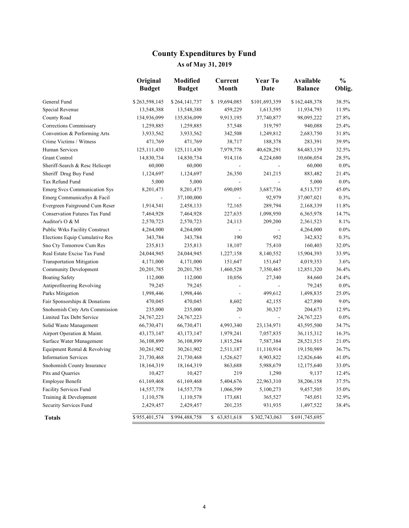### **County Expenditures by Fund As of May 31, 2019**

|                                      | Original<br><b>Budget</b> | <b>Modified</b><br><b>Budget</b> | Current<br>Month         | <b>Year To</b><br>Date   | <b>Available</b><br><b>Balance</b> | $\frac{0}{0}$<br>Oblig. |
|--------------------------------------|---------------------------|----------------------------------|--------------------------|--------------------------|------------------------------------|-------------------------|
| General Fund                         | \$263,598,145             | \$264,141,737                    | \$19,694,085             | \$101,693,359            | \$162,448,378                      | 38.5%                   |
| Special Revenue                      | 13,548,388                | 13,548,388                       | 459,229                  | 1,613,595                | 11,934,793                         | 11.9%                   |
| County Road                          | 134,936,099               | 135,836,099                      | 9,913,195                | 37,740,877               | 98,095,222                         | 27.8%                   |
| Corrections Commissary               | 1,259,885                 | 1,259,885                        | 57,548                   | 319,797                  | 940,088                            | 25.4%                   |
| Convention & Performing Arts         | 3,933,562                 | 3,933,562                        | 342,508                  | 1,249,812                | 2,683,750                          | 31.8%                   |
| Crime Victims / Witness              | 471,769                   | 471,769                          | 38,717                   | 188,378                  | 283,391                            | 39.9%                   |
| Human Services                       | 125, 111, 430             | 125, 111, 430                    | 7,979,778                | 40,628,291               | 84, 483, 139                       | 32.5%                   |
| <b>Grant Control</b>                 | 14,830,734                | 14,830,734                       | 914,116                  | 4,224,680                | 10,606,054                         | 28.5%                   |
| Sheriff-Search & Resc Helicopt       | 60,000                    | 60,000                           |                          |                          | 60,000                             | $0.0\%$                 |
| Sheriff Drug Buy Fund                | 1,124,697                 | 1,124,697                        | 26,350                   | 241,215                  | 883,482                            | 21.4%                   |
| Tax Refund Fund                      | 5,000                     | 5,000                            |                          | $\overline{a}$           | 5,000                              | $0.0\%$                 |
| Emerg Svcs Communication Sys         | 8,201,473                 | 8,201,473                        | 690,095                  | 3,687,736                | 4,513,737                          | 45.0%                   |
| Emerg CommunicaSys & Facil           | $\frac{1}{2}$             | 37,100,000                       | $\overline{\phantom{a}}$ | 92,979                   | 37,007,021                         | 0.3%                    |
| Evergreen Fairground Cum Reser       | 1,914,541                 | 2,458,133                        | 72,165                   | 289,794                  | 2,168,339                          | 11.8%                   |
| <b>Conservation Futures Tax Fund</b> | 7,464,928                 | 7,464,928                        | 227,635                  | 1,098,950                | 6,365,978                          | 14.7%                   |
| Auditor's O & M                      | 2,570,723                 | 2,570,723                        | 24,113                   | 209,200                  | 2,361,523                          | 8.1%                    |
| Public Wrks Facility Construct       | 4,264,000                 | 4,264,000                        |                          | $\overline{\phantom{a}}$ | 4,264,000                          | $0.0\%$                 |
| Elections Equip Cumulative Res       | 343,784                   | 343,784                          | 190                      | 952                      | 342,832                            | 0.3%                    |
| Sno Cty Tomorrow Cum Res             | 235,813                   | 235,813                          | 18,107                   | 75,410                   | 160,403                            | 32.0%                   |
| Real Estate Excise Tax Fund          | 24,044,945                | 24,044,945                       | 1,227,158                | 8,140,552                | 15,904,393                         | 33.9%                   |
| <b>Transportation Mitigation</b>     | 4,171,000                 | 4,171,000                        | 151,647                  | 151,647                  | 4,019,353                          | 3.6%                    |
| <b>Community Development</b>         | 20, 201, 785              | 20, 201, 785                     | 1,460,528                | 7,350,465                | 12,851,320                         | 36.4%                   |
| <b>Boating Safety</b>                | 112,000                   | 112,000                          | 10,056                   | 27,340                   | 84,660                             | 24.4%                   |
| Antiprofiteering Revolving           | 79,245                    | 79,245                           |                          |                          | 79,245                             | $0.0\%$                 |
| Parks Mitigation                     | 1,998,446                 | 1,998,446                        |                          | 499,612                  | 1,498,835                          | 25.0%                   |
| Fair Sponsorships & Donations        | 470,045                   | 470,045                          | 8,602                    | 42,155                   | 427,890                            | 9.0%                    |
| Snohomish Cnty Arts Commission       | 235,000                   | 235,000                          | 20                       | 30,327                   | 204,673                            | 12.9%                   |
| Limited Tax Debt Service             | 24,767,223                | 24,767,223                       | $\overline{\phantom{a}}$ | ÷,                       | 24,767,223                         | $0.0\%$                 |
| Solid Waste Management               | 66,730,471                | 66,730,471                       | 4,993,340                | 23,134,971               | 43,595,500                         | 34.7%                   |
| Airport Operation & Maint.           | 43, 173, 147              | 43,173,147                       | 1,979,241                | 7,057,835                | 36,115,312                         | 16.3%                   |
| Surface Water Management             | 36,108,899                | 36,108,899                       | 1,815,284                | 7,587,384                | 28,521,515                         | 21.0%                   |
| Equipment Rental & Revolving         | 30,261,902                | 30,261,902                       | 2,511,187                | 11,110,914               | 19,150,989                         | 36.7%                   |
| <b>Information Services</b>          | 21,730,468                | 21,730,468                       | 1,526,627                | 8,903,822                | 12,826,646                         | 41.0%                   |
| Snohomish County Insurance           | 18,164,319                | 18, 164, 319                     | 863,688                  | 5,988,679                | 12,175,640                         | 33.0%                   |
| Pits and Quarries                    | 10,427                    | 10,427                           | 219                      | 1,290                    | 9,137                              | 12.4%                   |
| Employee Benefit                     | 61,169,468                | 61,169,468                       | 5,404,676                | 22,963,310               | 38,206,158                         | 37.5%                   |
| Facility Services Fund               | 14,557,778                | 14,557,778                       | 1,066,599                | 5,100,273                | 9,457,505                          | 35.0%                   |
| Training & Development               | 1,110,578                 | 1,110,578                        | 173,681                  | 365,527                  | 745,051                            | 32.9%                   |
| Security Services Fund               | 2,429,457                 | 2,429,457                        | 201,235                  | 931,935                  | 1,497,522                          | 38.4%                   |
| <b>Totals</b>                        | \$955,401,574             | \$994,488,758                    | \$63,851,618             | \$302,743,063            | \$691,745,695                      |                         |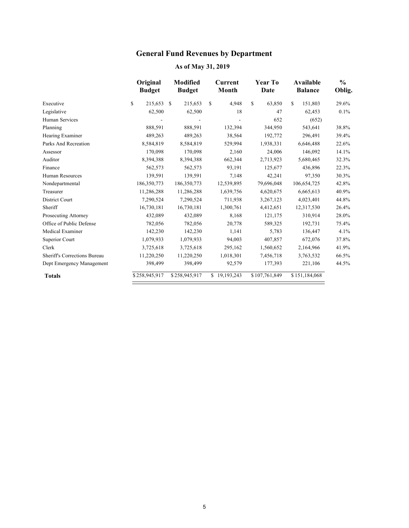### **General Fund Revenues by Department**

|                                     | Original<br><b>Budget</b> | <b>Modified</b><br><b>Budget</b> | Current<br>Month | <b>Year To</b><br>Date | Available<br><b>Balance</b> | $\frac{0}{0}$<br>Oblig. |
|-------------------------------------|---------------------------|----------------------------------|------------------|------------------------|-----------------------------|-------------------------|
| Executive                           | \$<br>215,653             | <sup>\$</sup><br>215,653         | \$<br>4,948      | \$<br>63,850           | \$<br>151,803               | 29.6%                   |
| Legislative                         | 62,500                    | 62,500                           | 18               | 47                     | 62,453                      | 0.1%                    |
| Human Services                      |                           |                                  |                  | 652                    | (652)                       |                         |
| Planning                            | 888,591                   | 888,591                          | 132,394          | 344,950                | 543,641                     | 38.8%                   |
| Hearing Examiner                    | 489,263                   | 489,263                          | 38,564           | 192,772                | 296,491                     | 39.4%                   |
| Parks And Recreation                | 8,584,819                 | 8,584,819                        | 529,994          | 1,938,331              | 6,646,488                   | 22.6%                   |
| Assessor                            | 170,098                   | 170,098                          | 2,160            | 24,006                 | 146,092                     | 14.1%                   |
| Auditor                             | 8,394,388                 | 8,394,388                        | 662,344          | 2,713,923              | 5,680,465                   | 32.3%                   |
| Finance                             | 562,573                   | 562,573                          | 93,191           | 125,677                | 436,896                     | 22.3%                   |
| Human Resources                     | 139,591                   | 139,591                          | 7,148            | 42,241                 | 97,350                      | 30.3%                   |
| Nondepartmental                     | 186,350,773               | 186,350,773                      | 12,539,895       | 79,696,048             | 106,654,725                 | 42.8%                   |
| Treasurer                           | 11,286,288                | 11,286,288                       | 1,639,756        | 4,620,675              | 6,665,613                   | 40.9%                   |
| District Court                      | 7,290,524                 | 7,290,524                        | 711,938          | 3,267,123              | 4,023,401                   | 44.8%                   |
| Sheriff                             | 16,730,181                | 16,730,181                       | 1,300,761        | 4,412,651              | 12,317,530                  | 26.4%                   |
| Prosecuting Attorney                | 432,089                   | 432,089                          | 8,168            | 121,175                | 310,914                     | 28.0%                   |
| Office of Public Defense            | 782,056                   | 782,056                          | 20,778           | 589,325                | 192,731                     | 75.4%                   |
| Medical Examiner                    | 142,230                   | 142,230                          | 1.141            | 5,783                  | 136,447                     | 4.1%                    |
| Superior Court                      | 1,079,933                 | 1,079,933                        | 94,003           | 407,857                | 672,076                     | 37.8%                   |
| Clerk                               | 3,725,618                 | 3,725,618                        | 295,162          | 1,560,652              | 2,164,966                   | 41.9%                   |
| <b>Sheriff's Corrections Bureau</b> | 11,220,250                | 11,220,250                       | 1,018,301        | 7,456,718              | 3,763,532                   | 66.5%                   |
| Dept Emergency Management           | 398,499                   | 398,499                          | 92,579           | 177,393                | 221,106                     | 44.5%                   |
| <b>Totals</b>                       | \$258,945,917             | \$258,945,917                    | \$19,193,243     | \$107,761,849          | \$151,184,068               |                         |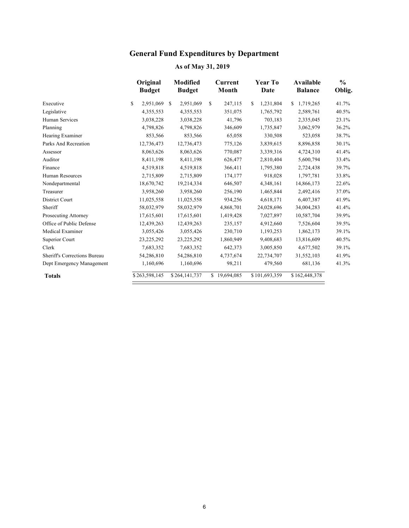### **General Fund Expenditures by Department**

|                              | Original<br><b>Budget</b> |   | <b>Modified</b><br><b>Budget</b> |              | Current<br>Month | Year To<br>Date | Available<br><b>Balance</b> | $\frac{0}{0}$<br>Oblig. |
|------------------------------|---------------------------|---|----------------------------------|--------------|------------------|-----------------|-----------------------------|-------------------------|
| Executive                    | \$<br>2,951,069           | S | 2,951,069                        | $\mathbb{S}$ | 247,115          | \$<br>1,231,804 | \$<br>1,719,265             | 41.7%                   |
| Legislative                  | 4,355,553                 |   | 4,355,553                        |              | 351,075          | 1,765,792       | 2,589,761                   | 40.5%                   |
| <b>Human Services</b>        | 3,038,228                 |   | 3,038,228                        |              | 41,796           | 703,183         | 2,335,045                   | 23.1%                   |
| Planning                     | 4,798,826                 |   | 4,798,826                        |              | 346,609          | 1,735,847       | 3,062,979                   | 36.2%                   |
| Hearing Examiner             | 853,566                   |   | 853,566                          |              | 65,058           | 330,508         | 523,058                     | 38.7%                   |
| Parks And Recreation         | 12,736,473                |   | 12,736,473                       |              | 775,126          | 3,839,615       | 8,896,858                   | 30.1%                   |
| Assessor                     | 8,063,626                 |   | 8,063,626                        |              | 770,087          | 3,339,316       | 4,724,310                   | 41.4%                   |
| Auditor                      | 8,411,198                 |   | 8,411,198                        |              | 626,477          | 2,810,404       | 5,600,794                   | 33.4%                   |
| Finance                      | 4,519,818                 |   | 4,519,818                        |              | 366,411          | 1,795,380       | 2,724,438                   | 39.7%                   |
| Human Resources              | 2,715,809                 |   | 2,715,809                        |              | 174,177          | 918,028         | 1,797,781                   | 33.8%                   |
| Nondepartmental              | 18,670,742                |   | 19,214,334                       |              | 646,507          | 4,348,161       | 14,866,173                  | 22.6%                   |
| Treasurer                    | 3,958,260                 |   | 3,958,260                        |              | 256,190          | 1,465,844       | 2,492,416                   | 37.0%                   |
| District Court               | 11,025,558                |   | 11,025,558                       |              | 934,256          | 4,618,171       | 6,407,387                   | 41.9%                   |
| Sheriff                      | 58,032,979                |   | 58,032,979                       |              | 4,868,701        | 24,028,696      | 34,004,283                  | 41.4%                   |
| Prosecuting Attorney         | 17,615,601                |   | 17,615,601                       |              | 1,419,428        | 7,027,897       | 10,587,704                  | 39.9%                   |
| Office of Public Defense     | 12,439,263                |   | 12,439,263                       |              | 235,157          | 4,912,660       | 7,526,604                   | 39.5%                   |
| Medical Examiner             | 3,055,426                 |   | 3,055,426                        |              | 230,710          | 1,193,253       | 1,862,173                   | 39.1%                   |
| Superior Court               | 23,225,292                |   | 23,225,292                       |              | 1,860,949        | 9,408,683       | 13,816,609                  | 40.5%                   |
| Clerk                        | 7,683,352                 |   | 7,683,352                        |              | 642,373          | 3,005,850       | 4,677,502                   | 39.1%                   |
| Sheriff's Corrections Bureau | 54,286,810                |   | 54,286,810                       |              | 4,737,674        | 22,734,707      | 31,552,103                  | 41.9%                   |
| Dept Emergency Management    | 1,160,696                 |   | 1,160,696                        |              | 98,211           | 479,560         | 681,136                     | 41.3%                   |
| <b>Totals</b>                | \$263,598,145             |   | \$264,141,737                    |              | \$19,694,085     | \$101,693,359   | \$162,448,378               |                         |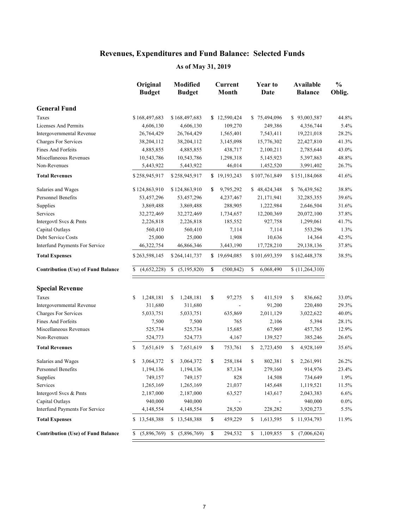|                                           | Original<br><b>Budget</b> | <b>Modified</b><br><b>Budget</b> | <b>Current</b><br>Month | <b>Year to</b><br>Date | Available<br><b>Balance</b> | $\frac{0}{0}$<br>Oblig. |
|-------------------------------------------|---------------------------|----------------------------------|-------------------------|------------------------|-----------------------------|-------------------------|
| <b>General Fund</b>                       |                           |                                  |                         |                        |                             |                         |
| Taxes                                     | \$168,497,683             | \$168,497,683                    | \$12,590,424            | \$75,494,096           | \$93,003,587                | 44.8%                   |
| Licenses And Permits                      | 4,606,130                 | 4,606,130                        | 109,270                 | 249,386                | 4,356,744                   | 5.4%                    |
| Intergovernmental Revenue                 | 26,764,429                | 26,764,429                       | 1,565,401               | 7,543,411              | 19,221,018                  | 28.2%                   |
| Charges For Services                      | 38,204,112                | 38,204,112                       | 3,145,098               | 15,776,302             | 22,427,810                  | 41.3%                   |
| Fines And Forfeits                        | 4,885,855                 | 4,885,855                        | 438,717                 | 2,100,211              | 2,785,644                   | 43.0%                   |
| Miscellaneous Revenues                    | 10,543,786                | 10,543,786                       | 1,298,318               | 5,145,923              | 5,397,863                   | 48.8%                   |
| Non-Revenues                              | 5,443,922                 | 5,443,922                        | 46,014                  | 1,452,520              | 3,991,402                   | 26.7%                   |
| <b>Total Revenues</b>                     | \$258,945,917             | \$258,945,917                    | \$19,193,243            | \$107,761,849          | \$151,184,068               | 41.6%                   |
| Salaries and Wages                        | \$124,863,910             | \$124,863,910                    | 9,795,292<br>\$         | \$48,424,348           | \$76,439,562                | 38.8%                   |
| Personnel Benefits                        | 53,457,296                | 53,457,296                       | 4,237,467               | 21,171,941             | 32,285,355                  | 39.6%                   |
| Supplies                                  | 3,869,488                 | 3,869,488                        | 288,905                 | 1,222,984              | 2,646,504                   | 31.6%                   |
| Services                                  | 32,272,469                | 32,272,469                       | 1,734,657               | 12,200,369             | 20,072,100                  | 37.8%                   |
| Intergovtl Svcs & Pmts                    | 2,226,818                 | 2,226,818                        | 185,552                 | 927,758                | 1,299,061                   | 41.7%                   |
| Capital Outlays                           | 560,410                   | 560,410                          | 7,114                   | 7,114                  | 553,296                     | 1.3%                    |
| Debt Service Costs                        | 25,000                    | 25,000                           | 1,908                   | 10,636                 | 14,364                      | 42.5%                   |
| Interfund Payments For Service            | 46,322,754                | 46,866,346                       | 3,443,190               | 17,728,210             | 29,138,136                  | 37.8%                   |
| <b>Total Expenses</b>                     | \$263,598,145             | \$264,141,737                    | \$19,694,085            | \$101,693,359          | \$162,448,378               | 38.5%                   |
| <b>Contribution (Use) of Fund Balance</b> | (4,652,228)<br>\$         | \$(5,195,820)                    | \$<br>(500, 842)        | \$<br>6,068,490        | (11,264,310)                |                         |
| <b>Special Revenue</b>                    |                           |                                  |                         |                        |                             |                         |
| Taxes                                     | 1,248,181<br>\$           | 1,248,181<br>\$                  | \$<br>97,275            | 411,519<br>\$          | \$<br>836,662               | 33.0%                   |
| Intergovernmental Revenue                 | 311,680                   | 311,680                          |                         | 91,200                 | 220,480                     | 29.3%                   |
| Charges For Services                      | 5,033,751                 | 5,033,751                        | 635,869                 | 2,011,129              | 3,022,622                   | 40.0%                   |
| <b>Fines And Forfeits</b>                 | 7,500                     | 7,500                            | 765                     | 2,106                  | 5,394                       | 28.1%                   |
| Miscellaneous Revenues                    | 525,734                   | 525,734                          | 15,685                  | 67,969                 | 457,765                     | 12.9%                   |
| Non-Revenues                              | 524,773                   | 524,773                          | 4,167                   | 139,527                | 385,246                     | 26.6%                   |
| <b>Total Revenues</b>                     | 7,651,619<br>\$           | \$<br>7,651,619                  | \$<br>753,761           | 2,723,450<br>\$        | \$<br>4,928,169             | 35.6%                   |
| Salaries and Wages                        | 3,064,372<br>\$           | \$<br>3,064,372                  | \$<br>258,184           | \$<br>802,381          | \$<br>2,261,991             | 26.2%                   |
| Personnel Benefits                        | 1,194,136                 | 1,194,136                        | 87,134                  | 279,160                | 914,976                     | 23.4%                   |
| Supplies                                  | 749,157                   | 749,157                          | 828                     | 14,508                 | 734,649                     | 1.9%                    |
| Services                                  | 1,265,169                 | 1,265,169                        | 21,037                  | 145,648                | 1,119,521                   | 11.5%                   |
| Intergovtl Svcs & Pmts                    | 2,187,000                 | 2,187,000                        | 63,527                  | 143,617                | 2,043,383                   | 6.6%                    |
| Capital Outlays                           | 940,000                   | 940,000                          |                         |                        | 940,000                     | $0.0\%$                 |
| Interfund Payments For Service            | 4,148,554                 | 4,148,554                        | 28,520                  | 228,282                | 3,920,273                   | 5.5%                    |
| <b>Total Expenses</b>                     | \$13,548,388              | \$13,548,388                     | \$<br>459,229           | 1,613,595<br>\$        | \$11,934,793                | 11.9%                   |
| <b>Contribution (Use) of Fund Balance</b> | (5,896,769)<br>S.         | (5,896,769)<br>S.                | \$<br>294,532           | 1,109,855<br>\$        | \$(7,006,624)               |                         |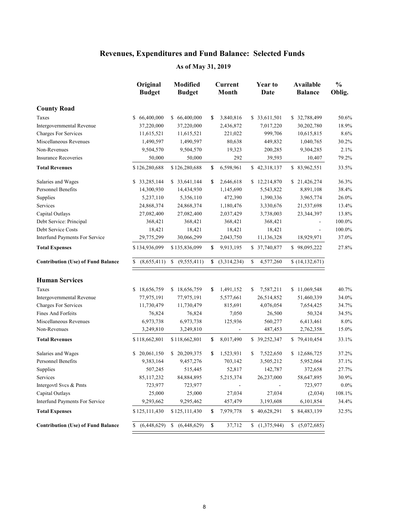|                                           | Original<br><b>Budget</b> | <b>Modified</b><br><b>Budget</b> | <b>Current</b><br>Month | <b>Year to</b><br>Date |                          |    | Available<br><b>Balance</b> | $\frac{0}{0}$<br>Oblig. |  |
|-------------------------------------------|---------------------------|----------------------------------|-------------------------|------------------------|--------------------------|----|-----------------------------|-------------------------|--|
| <b>County Road</b>                        |                           |                                  |                         |                        |                          |    |                             |                         |  |
| Taxes                                     | \$66,400,000              | \$66,400,000                     | \$<br>3,840,816         |                        | \$ 33,611,501            |    | \$32,788,499                | 50.6%                   |  |
| Intergovernmental Revenue                 | 37,220,000                | 37,220,000                       | 2,436,872               |                        | 7,017,220                |    | 30,202,780                  | 18.9%                   |  |
| <b>Charges For Services</b>               | 11,615,521                | 11,615,521                       | 221,022                 |                        | 999,706                  |    | 10,615,815                  | 8.6%                    |  |
| Miscellaneous Revenues                    | 1,490,597                 | 1,490,597                        | 80,638                  |                        | 449,832                  |    | 1,040,765                   | 30.2%                   |  |
| Non-Revenues                              | 9,504,570                 | 9,504,570                        | 19,323                  |                        | 200,285                  |    | 9,304,285                   | 2.1%                    |  |
| <b>Insurance Recoveries</b>               | 50,000                    | 50,000                           | 292                     |                        | 39,593                   |    | 10,407                      | 79.2%                   |  |
| <b>Total Revenues</b>                     | \$126,280,688             | \$126,280,688                    | \$<br>6,598,961         |                        | \$42,318,137             |    | \$83,962,551                | 33.5%                   |  |
| Salaries and Wages                        | \$ 33,285,144             | \$33,641,144                     | \$<br>2,646,618         |                        | \$12,214,870             |    | \$21,426,274                | 36.3%                   |  |
| <b>Personnel Benefits</b>                 | 14,300,930                | 14,434,930                       | 1,145,690               |                        | 5,543,822                |    | 8,891,108                   | 38.4%                   |  |
| Supplies                                  | 5,237,110                 | 5,356,110                        | 472,390                 |                        | 1,390,336                |    | 3,965,774                   | 26.0%                   |  |
| Services                                  | 24,868,374                | 24,868,374                       | 1,180,476               |                        | 3,330,676                |    | 21,537,698                  | 13.4%                   |  |
| Capital Outlays                           | 27,082,400                | 27,082,400                       | 2,037,429               |                        | 3,738,003                |    | 23,344,397                  | 13.8%                   |  |
| Debt Service: Principal                   | 368,421                   | 368,421                          | 368,421                 |                        | 368,421                  |    |                             | 100.0%                  |  |
| Debt Service Costs                        | 18,421                    | 18,421                           | 18,421                  |                        | 18,421                   |    | $\blacksquare$              | 100.0%                  |  |
| Interfund Payments For Service            | 29,775,299                | 30,066,299                       | 2,043,750               |                        | 11,136,328               |    | 18,929,971                  | 37.0%                   |  |
| <b>Total Expenses</b>                     | \$134,936,099             | \$135,836,099                    | \$<br>9,913,195         |                        | \$37,740,877             |    | \$98,095,222                | 27.8%                   |  |
| <b>Contribution (Use) of Fund Balance</b> | (8,655,411)<br>S.         | (9,555,411)                      | \$<br>(3,314,234)       | \$                     | 4,577,260                |    | (14, 132, 671)              |                         |  |
| <b>Human Services</b>                     |                           |                                  |                         |                        |                          |    |                             |                         |  |
| Taxes                                     | \$18,656,759              | \$18,656,759                     | \$<br>1,491,152         | \$                     | 7,587,211                |    | \$11,069,548                | 40.7%                   |  |
| Intergovernmental Revenue                 | 77,975,191                | 77,975,191                       | 5,577,661               |                        | 26,514,852               |    | 51,460,339                  | 34.0%                   |  |
| <b>Charges For Services</b>               | 11,730,479                | 11,730,479                       | 815,691                 |                        | 4,076,054                |    | 7,654,425                   | 34.7%                   |  |
| Fines And Forfeits                        | 76,824                    | 76,824                           | 7,050                   |                        | 26,500                   |    | 50,324                      | 34.5%                   |  |
| Miscellaneous Revenues                    | 6,973,738                 | 6,973,738                        | 125,936                 |                        | 560,277                  |    | 6,413,461                   | 8.0%                    |  |
| Non-Revenues                              | 3,249,810                 | 3,249,810                        |                         |                        | 487,453                  |    | 2,762,358                   | 15.0%                   |  |
| <b>Total Revenues</b>                     | \$118,662,801             | \$118,662,801                    | \$<br>8,017,490         |                        | \$39,252,347             |    | \$79,410,454                | 33.1%                   |  |
| Salaries and Wages                        | \$ 20,061,150             | \$20,209,375                     | \$<br>1,523,931         | \$                     | 7,522,650                |    | \$12,686,725                | 37.2%                   |  |
| Personnel Benefits                        | 9,383,164                 | 9,457,276                        | 703,142                 |                        | 3,505,212                |    | 5,952,064                   | 37.1%                   |  |
| Supplies                                  | 507,245                   | 515,445                          | 52,817                  |                        | 142,787                  |    | 372,658                     | 27.7%                   |  |
| Services                                  | 85,117,232                | 84,884,895                       | 5,215,374               |                        | 26,237,000               |    | 58,647,895                  | 30.9%                   |  |
| Intergovtl Svcs & Pmts                    | 723,977                   | 723,977                          |                         |                        | $\overline{\phantom{0}}$ |    | 723,977                     | $0.0\%$                 |  |
| Capital Outlays                           | 25,000                    | 25,000                           | 27,034                  |                        | 27,034                   |    | (2,034)                     | 108.1%                  |  |
| Interfund Payments For Service            | 9,293,662                 | 9,295,462                        | 457,479                 |                        | 3,193,608                |    | 6,101,854                   | 34.4%                   |  |
| <b>Total Expenses</b>                     | \$125,111,430             | \$125,111,430                    | \$<br>7,979,778         |                        | \$40,628,291             |    | \$84,483,139                | 32.5%                   |  |
| <b>Contribution (Use) of Fund Balance</b> | (6,448,629)<br>\$         | (6,448,629)<br>\$                | \$<br>37,712            | \$                     | (1,375,944)              | \$ | (5,072,685)                 |                         |  |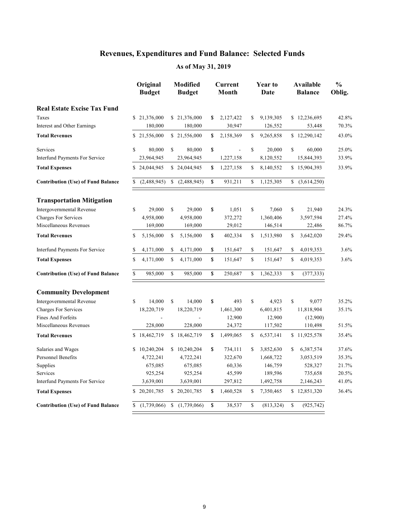|                                           |             | Original<br><b>Budget</b> | <b>Modified</b><br><b>Budget</b> |             | Current<br>Month |              | Year to<br>Date |    | <b>Available</b><br><b>Balance</b> | $\frac{0}{0}$<br>Oblig. |
|-------------------------------------------|-------------|---------------------------|----------------------------------|-------------|------------------|--------------|-----------------|----|------------------------------------|-------------------------|
| <b>Real Estate Excise Tax Fund</b>        |             |                           |                                  |             |                  |              |                 |    |                                    |                         |
| Taxes                                     |             | \$21,376,000              | \$21,376,000                     | S           | 2,127,422        | \$           | 9,139,305       |    | \$12,236,695                       | 42.8%                   |
| Interest and Other Earnings               |             | 180,000                   | 180,000                          |             | 30,947           |              | 126,552         |    | 53,448                             | 70.3%                   |
| <b>Total Revenues</b>                     |             | \$21,556,000              | \$21,556,000                     | \$          | 2,158,369        | \$           | 9,265,858       |    | \$12,290,142                       | 43.0%                   |
| Services                                  | \$          | 80,000                    | \$<br>80,000                     | \$          | $\frac{1}{2}$    | $\mathbb{S}$ | 20,000          | \$ | 60,000                             | 25.0%                   |
| <b>Interfund Payments For Service</b>     |             | 23,964,945                | 23,964,945                       |             | 1,227,158        |              | 8,120,552       |    | 15,844,393                         | 33.9%                   |
| <b>Total Expenses</b>                     |             | \$24,044,945              | \$24,044,945                     | \$          | 1,227,158        | \$           | 8,140,552       |    | \$15,904,393                       | 33.9%                   |
| <b>Contribution (Use) of Fund Balance</b> | S.          | (2,488,945)               | \$<br>(2,488,945)                | $\mathbf S$ | 931,211          | $\mathbb{S}$ | 1,125,305       |    | (3,614,250)                        |                         |
| <b>Transportation Mitigation</b>          |             |                           |                                  |             |                  |              |                 |    |                                    |                         |
| Intergovernmental Revenue                 | \$          | 29,000                    | \$<br>29,000                     | \$          | 1,051            | \$           | 7,060           | \$ | 21,940                             | 24.3%                   |
| <b>Charges For Services</b>               |             | 4,958,000                 | 4,958,000                        |             | 372,272          |              | 1,360,406       |    | 3,597,594                          | 27.4%                   |
| Miscellaneous Revenues                    |             | 169,000                   | 169,000                          |             | 29,012           |              | 146,514         |    | 22,486                             | 86.7%                   |
| <b>Total Revenues</b>                     | S           | 5,156,000                 | \$<br>5,156,000                  | \$          | 402,334          | \$           | 1,513,980       | S  | 3,642,020                          | 29.4%                   |
| <b>Interfund Payments For Service</b>     | \$          | 4,171,000                 | \$<br>4,171,000                  | \$          | 151,647          | \$           | 151,647         | \$ | 4,019,353                          | 3.6%                    |
| <b>Total Expenses</b>                     | \$          | 4,171,000                 | \$<br>4,171,000                  | $\sqrt{\ }$ | 151,647          | $\mathbf S$  | 151,647         | \$ | 4,019,353                          | 3.6%                    |
| <b>Contribution (Use) of Fund Balance</b> | \$          | 985,000                   | \$<br>985,000                    | \$          | 250,687          | \$           | 1,362,333       | \$ | (377, 333)                         |                         |
| <b>Community Development</b>              |             |                           |                                  |             |                  |              |                 |    |                                    |                         |
| Intergovernmental Revenue                 | $\mathbf S$ | 14,000                    | \$<br>14,000                     | \$          | 493              | \$           | 4,923           | \$ | 9,077                              | 35.2%                   |
| <b>Charges For Services</b>               |             | 18,220,719                | 18,220,719                       |             | 1,461,300        |              | 6,401,815       |    | 11,818,904                         | 35.1%                   |
| <b>Fines And Forfeits</b>                 |             | $\frac{1}{2}$             | $\overline{a}$                   |             | 12,900           |              | 12,900          |    | (12,900)                           |                         |
| Miscellaneous Revenues                    |             | 228,000                   | 228,000                          |             | 24,372           |              | 117,502         |    | 110,498                            | 51.5%                   |
| <b>Total Revenues</b>                     |             | \$18,462,719              | \$18,462,719                     | \$          | 1,499,065        | \$           | 6,537,141       |    | \$11,925,578                       | 35.4%                   |
| Salaries and Wages                        |             | \$10,240,204              | \$10,240,204                     | $\mathbf S$ | 734,111          | \$           | 3,852,630       | \$ | 6,387,574                          | 37.6%                   |
| Personnel Benefits                        |             | 4,722,241                 | 4,722,241                        |             | 322,670          |              | 1,668,722       |    | 3,053,519                          | 35.3%                   |
| Supplies                                  |             | 675,085                   | 675,085                          |             | 60,336           |              | 146,759         |    | 528,327                            | 21.7%                   |
| Services                                  |             | 925,254                   | 925,254                          |             | 45,599           |              | 189,596         |    | 735,658                            | 20.5%                   |
| <b>Interfund Payments For Service</b>     |             | 3,639,001                 | 3,639,001                        |             | 297,812          |              | 1,492,758       |    | 2,146,243                          | 41.0%                   |
| <b>Total Expenses</b>                     |             | \$20,201,785              | \$20,201,785                     | \$          | 1,460,528        | \$           | 7,350,465       |    | \$12,851,320                       | 36.4%                   |
| <b>Contribution (Use) of Fund Balance</b> | \$          | (1,739,066)               | \$<br>(1,739,066)                | \$          | 38,537           | \$           | (813, 324)      | \$ | (925, 742)                         |                         |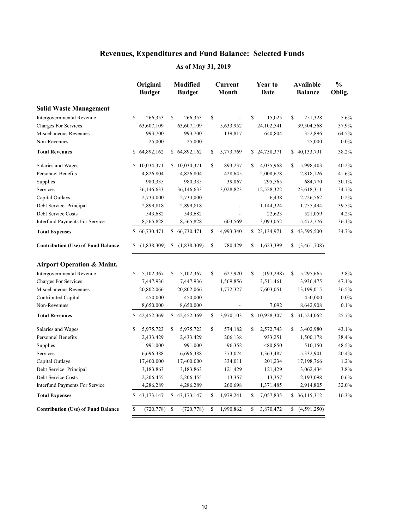|                                           | Original<br><b>Budget</b> |    | <b>Modified</b><br><b>Budget</b> | Current<br>Month | <b>Year to</b><br>Date |    | Available<br><b>Balance</b> | $\frac{0}{0}$<br>Oblig. |
|-------------------------------------------|---------------------------|----|----------------------------------|------------------|------------------------|----|-----------------------------|-------------------------|
| <b>Solid Waste Management</b>             |                           |    |                                  |                  |                        |    |                             |                         |
| Intergovernmental Revenue                 | \$<br>266,353             | \$ | 266,353                          | \$               | \$<br>15,025           | \$ | 251,328                     | 5.6%                    |
| <b>Charges For Services</b>               | 63,607,109                |    | 63,607,109                       | 5,633,952        | 24,102,541             |    | 39,504,568                  | 37.9%                   |
| Miscellaneous Revenues                    | 993,700                   |    | 993,700                          | 139,817          | 640,804                |    | 352,896                     | 64.5%                   |
| Non-Revenues                              | 25,000                    |    | 25,000                           | $\blacksquare$   | $\Box$                 |    | 25,000                      | $0.0\%$                 |
| <b>Total Revenues</b>                     | \$64,892,162              |    | \$64,892,162                     | \$<br>5,773,769  | \$24,758,371           |    | \$40,133,791                | 38.2%                   |
| Salaries and Wages                        | \$10,034,371              |    | \$10,034,371                     | \$<br>893,237    | \$<br>4,035,968        | \$ | 5,998,403                   | 40.2%                   |
| Personnel Benefits                        | 4,826,804                 |    | 4,826,804                        | 428,645          | 2,008,678              |    | 2,818,126                   | 41.6%                   |
| Supplies                                  | 980,335                   |    | 980,335                          | 39,067           | 295,565                |    | 684,770                     | 30.1%                   |
| Services                                  | 36,146,633                |    | 36,146,633                       | 3,028,823        | 12,528,322             |    | 23,618,311                  | 34.7%                   |
| Capital Outlays                           | 2,733,000                 |    | 2,733,000                        |                  | 6,438                  |    | 2,726,562                   | 0.2%                    |
| Debt Service: Principal                   | 2,899,818                 |    | 2,899,818                        | L,               | 1,144,324              |    | 1,755,494                   | 39.5%                   |
| Debt Service Costs                        | 543,682                   |    | 543,682                          |                  | 22,623                 |    | 521,059                     | 4.2%                    |
| Interfund Payments For Service            | 8,565,828                 |    | 8,565,828                        | 603,569          | 3,093,052              |    | 5,472,776                   | 36.1%                   |
| <b>Total Expenses</b>                     | \$66,730,471              |    | \$66,730,471                     | \$<br>4,993,340  | \$23,134,971           |    | \$43,595,500                | 34.7%                   |
| <b>Contribution (Use) of Fund Balance</b> | \$<br>(1,838,309)         | \$ | (1,838,309)                      | \$<br>780,429    | \$<br>1,623,399        |    | \$(3,461,708)               |                         |
| <b>Airport Operation &amp; Maint.</b>     |                           |    |                                  |                  |                        |    |                             |                         |
| Intergovernmental Revenue                 | \$<br>5,102,367           | S  | 5,102,367                        | \$<br>627,920    | \$<br>(193, 298)       | S  | 5,295,665                   | $-3.8%$                 |
| <b>Charges For Services</b>               | 7,447,936                 |    | 7,447,936                        | 1,569,856        | 3,511,461              |    | 3,936,475                   | 47.1%                   |
| Miscellaneous Revenues                    | 20,802,066                |    | 20,802,066                       | 1,772,327        | 7,603,051              |    | 13,199,015                  | 36.5%                   |
| Contributed Capital                       | 450,000                   |    | 450,000                          | $\frac{1}{2}$    | $\frac{1}{2}$          |    | 450,000                     | $0.0\%$                 |
| Non-Revenues                              | 8,650,000                 |    | 8,650,000                        | $\overline{a}$   | 7,092                  |    | 8,642,908                   | 0.1%                    |
| <b>Total Revenues</b>                     | \$42,452,369              |    | \$42,452,369                     | \$<br>3,970,103  | \$10,928,307           |    | \$31,524,062                | 25.7%                   |
| Salaries and Wages                        | \$<br>5,975,723           | \$ | 5,975,723                        | \$<br>574,182    | \$<br>2,572,743        | \$ | 3,402,980                   | 43.1%                   |
| Personnel Benefits                        | 2,433,429                 |    | 2,433,429                        | 206,138          | 933,251                |    | 1,500,178                   | 38.4%                   |
| Supplies                                  | 991,000                   |    | 991,000                          | 96,352           | 480,850                |    | 510,150                     | 48.5%                   |
| Services                                  | 6,696,388                 |    | 6,696,388                        | 373,074          | 1,363,487              |    | 5,332,901                   | 20.4%                   |
| Capital Outlays                           | 17,400,000                |    | 17,400,000                       | 334,011          | 201,234                |    | 17,198,766                  | 1.2%                    |
| Debt Service: Principal                   | 3,183,863                 |    | 3,183,863                        | 121,429          | 121,429                |    | 3,062,434                   | 3.8%                    |
| Debt Service Costs                        | 2,206,455                 |    | 2,206,455                        | 13,357           | 13,357                 |    | 2,193,098                   | 0.6%                    |
| Interfund Payments For Service            | 4,286,289                 |    | 4,286,289                        | 260,698          | 1,371,485              |    | 2,914,805                   | 32.0%                   |
| <b>Total Expenses</b>                     | \$43,173,147              |    | \$43,173,147                     | \$<br>1,979,241  | \$<br>7,057,835        |    | \$ 36,115,312               | 16.3%                   |
| <b>Contribution (Use) of Fund Balance</b> | \$<br>(720, 778)          | \$ | (720, 778)                       | \$<br>1,990,862  | \$<br>3,870,472        | \$ | (4,591,250)                 |                         |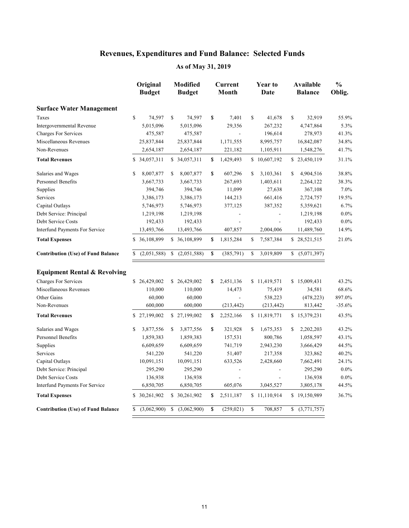|                                           | Original<br><b>Budget</b> | <b>Modified</b><br><b>Budget</b> | Current<br>Month         | Year to<br>Date | Available<br><b>Balance</b> | $\frac{0}{0}$<br>Oblig. |
|-------------------------------------------|---------------------------|----------------------------------|--------------------------|-----------------|-----------------------------|-------------------------|
| <b>Surface Water Management</b>           |                           |                                  |                          |                 |                             |                         |
| Taxes                                     | \$<br>74,597              | \$<br>74,597                     | \$<br>7,401              | \$<br>41,678    | \$<br>32,919                | 55.9%                   |
| Intergovernmental Revenue                 | 5,015,096                 | 5,015,096                        | 29,356                   | 267,232         | 4,747,864                   | 5.3%                    |
| <b>Charges For Services</b>               | 475,587                   | 475,587                          |                          | 196,614         | 278,973                     | 41.3%                   |
| Miscellaneous Revenues                    | 25,837,844                | 25,837,844                       | 1,171,555                | 8,995,757       | 16,842,087                  | 34.8%                   |
| Non-Revenues                              | 2,654,187                 | 2,654,187                        | 221,182                  | 1,105,911       | 1,548,276                   | 41.7%                   |
| <b>Total Revenues</b>                     | \$ 34,057,311             | \$ 34,057,311                    | \$<br>1,429,493          | \$10,607,192    | \$23,450,119                | 31.1%                   |
| Salaries and Wages                        | \$<br>8,007,877           | \$<br>8,007,877                  | \$<br>607,296            | \$<br>3,103,361 | \$<br>4,904,516             | 38.8%                   |
| <b>Personnel Benefits</b>                 | 3,667,733                 | 3,667,733                        | 267,693                  | 1,403,611       | 2,264,122                   | 38.3%                   |
| Supplies                                  | 394,746                   | 394,746                          | 11,099                   | 27,638          | 367,108                     | 7.0%                    |
| Services                                  | 3,386,173                 | 3,386,173                        | 144,213                  | 661,416         | 2,724,757                   | 19.5%                   |
| Capital Outlays                           | 5,746,973                 | 5,746,973                        | 377,125                  | 387,352         | 5,359,621                   | 6.7%                    |
| Debt Service: Principal                   | 1,219,198                 | 1,219,198                        |                          |                 | 1,219,198                   | $0.0\%$                 |
| Debt Service Costs                        | 192,433                   | 192,433                          |                          |                 | 192,433                     | $0.0\%$                 |
| Interfund Payments For Service            | 13,493,766                | 13,493,766                       | 407,857                  | 2,004,006       | 11,489,760                  | 14.9%                   |
| <b>Total Expenses</b>                     | \$ 36,108,899             | \$ 36,108,899                    | \$<br>1,815,284          | \$<br>7,587,384 | \$28,521,515                | 21.0%                   |
| <b>Contribution (Use) of Fund Balance</b> | \$<br>(2,051,588)         | \$<br>(2,051,588)                | \$<br>(385,791)          | \$<br>3,019,809 | \$ (5,071,397)              |                         |
| <b>Equipment Rental &amp; Revolving</b>   |                           |                                  |                          |                 |                             |                         |
| <b>Charges For Services</b>               | \$26,429,002              | \$26,429,002                     | \$<br>2,451,136          | \$11,419,571    | \$15,009,431                | 43.2%                   |
| Miscellaneous Revenues                    | 110,000                   | 110,000                          | 14,473                   | 75,419          | 34,581                      | 68.6%                   |
| Other Gains                               | 60,000                    | 60,000                           |                          | 538,223         | (478, 223)                  | 897.0%                  |
| Non-Revenues                              | 600,000                   | 600,000                          | (213, 442)               | (213, 442)      | 813,442                     | $-35.6%$                |
| <b>Total Revenues</b>                     | \$27,199,002              | \$27,199,002                     | \$<br>2,252,166          | \$11,819,771    | \$15,379,231                | 43.5%                   |
| Salaries and Wages                        | \$<br>3,877,556           | \$<br>3,877,556                  | \$<br>321,928            | \$<br>1,675,353 | \$<br>2,202,203             | 43.2%                   |
| <b>Personnel Benefits</b>                 | 1,859,383                 | 1,859,383                        | 157,531                  | 800,786         | 1,058,597                   | 43.1%                   |
| Supplies                                  | 6,609,659                 | 6,609,659                        | 741,719                  | 2,943,230       | 3,666,429                   | 44.5%                   |
| Services                                  | 541,220                   | 541,220                          | 51,407                   | 217,358         | 323,862                     | 40.2%                   |
| Capital Outlays                           | 10,091,151                | 10,091,151                       | 633,526                  | 2,428,660       | 7,662,491                   | 24.1%                   |
| Debt Service: Principal                   | 295,290                   | 295,290                          | $\overline{\phantom{a}}$ |                 | 295,290                     | $0.0\%$                 |
| Debt Service Costs                        | 136,938                   | 136,938                          |                          |                 | 136,938                     | $0.0\%$                 |
| Interfund Payments For Service            | 6,850,705                 | 6,850,705                        | 605,076                  | 3,045,527       | 3,805,178                   | 44.5%                   |
| <b>Total Expenses</b>                     | \$30,261,902              | \$30,261,902                     | \$<br>2,511,187          | \$11,110,914    | \$19,150,989                | 36.7%                   |
| <b>Contribution (Use) of Fund Balance</b> | \$                        | $(3,062,900)$ \$ $(3,062,900)$   | \$<br>(259, 021)         | \$<br>708,857   | (3,771,757)                 |                         |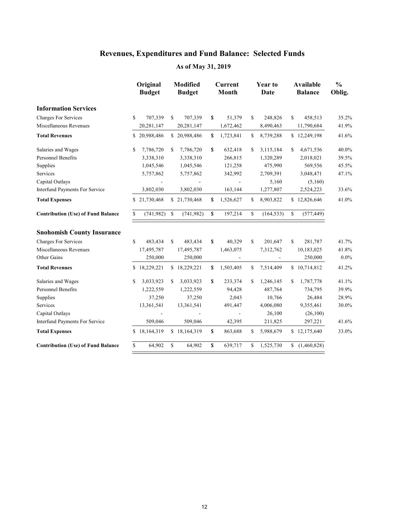|                                           |    | Original<br><b>Budget</b> |               | <b>Modified</b><br><b>Budget</b> |              | Current<br>Month | Year to<br>Date  | Available<br><b>Balance</b> | $\frac{0}{0}$<br>Oblig. |
|-------------------------------------------|----|---------------------------|---------------|----------------------------------|--------------|------------------|------------------|-----------------------------|-------------------------|
| <b>Information Services</b>               |    |                           |               |                                  |              |                  |                  |                             |                         |
| <b>Charges For Services</b>               | \$ | 707,339                   | \$            | 707,339                          | \$           | 51,379           | \$<br>248,826    | \$<br>458,513               | 35.2%                   |
| Miscellaneous Revenues                    |    | 20,281,147                |               | 20,281,147                       |              | 1,672,462        | 8,490,463        | 11,790,684                  | 41.9%                   |
| <b>Total Revenues</b>                     |    | \$20,988,486              |               | \$20,988,486                     | \$           | 1,723,841        | \$<br>8,739,288  | \$12,249,198                | 41.6%                   |
| Salaries and Wages                        | \$ | 7,786,720                 | \$            | 7,786,720                        | \$           | 632,418          | \$<br>3,115,184  | \$<br>4,671,536             | 40.0%                   |
| <b>Personnel Benefits</b>                 |    | 3,338,310                 |               | 3,338,310                        |              | 266,815          | 1,320,289        | 2,018,021                   | 39.5%                   |
| Supplies                                  |    | 1,045,546                 |               | 1,045,546                        |              | 121,258          | 475,990          | 569,556                     | 45.5%                   |
| Services                                  |    | 5,757,862                 |               | 5,757,862                        |              | 342,992          | 2,709,391        | 3,048,471                   | 47.1%                   |
| Capital Outlays                           |    |                           |               |                                  |              |                  | 5,160            | (5,160)                     |                         |
| Interfund Payments For Service            |    | 3,802,030                 |               | 3,802,030                        |              | 163,144          | 1,277,807        | 2,524,223                   | 33.6%                   |
| <b>Total Expenses</b>                     |    | \$21,730,468              |               | \$21,730,468                     | \$           | 1,526,627        | \$<br>8,903,822  | \$12,826,646                | 41.0%                   |
| <b>Contribution (Use) of Fund Balance</b> | \$ | (741, 982)                | <sup>\$</sup> | (741, 982)                       | $\mathbf{s}$ | 197,214          | \$<br>(164, 533) | \$<br>(577, 449)            |                         |
| <b>Snohomish County Insurance</b>         |    |                           |               |                                  |              |                  |                  |                             |                         |
| <b>Charges For Services</b>               | \$ | 483,434                   | S             | 483,434                          | \$           | 40,329           | \$<br>201,647    | \$<br>281,787               | 41.7%                   |
| Miscellaneous Revenues                    |    | 17,495,787                |               | 17,495,787                       |              | 1,463,075        | 7,312,762        | 10,183,025                  | 41.8%                   |
| Other Gains                               |    | 250,000                   |               | 250,000                          |              |                  |                  | 250,000                     | $0.0\%$                 |
| <b>Total Revenues</b>                     |    | \$18,229,221              |               | \$18,229,221                     | \$           | 1,503,405        | \$<br>7,514,409  | \$10,714,812                | 41.2%                   |
| Salaries and Wages                        | \$ | 3,033,923                 | \$            | 3,033,923                        | \$           | 233,374          | \$<br>1,246,145  | \$<br>1,787,778             | 41.1%                   |
| <b>Personnel Benefits</b>                 |    | 1,222,559                 |               | 1,222,559                        |              | 94,428           | 487,764          | 734,795                     | 39.9%                   |
| Supplies                                  |    | 37,250                    |               | 37,250                           |              | 2,043            | 10,766           | 26,484                      | 28.9%                   |
| Services                                  |    | 13,361,541                |               | 13,361,541                       |              | 491,447          | 4,006,080        | 9,355,461                   | 30.0%                   |
| Capital Outlays                           |    |                           |               |                                  |              |                  | 26,100           | (26,100)                    |                         |
| Interfund Payments For Service            |    | 509,046                   |               | 509,046                          |              | 42,395           | 211,825          | 297,221                     | 41.6%                   |
| <b>Total Expenses</b>                     |    | \$18,164,319              |               | \$18,164,319                     | S.           | 863,688          | \$<br>5,988,679  | \$12,175,640                | 33.0%                   |
| <b>Contribution (Use) of Fund Balance</b> | \$ | 64,902                    | \$            | 64,902                           | \$           | 639,717          | \$<br>1,525,730  | \$(1,460,828)               |                         |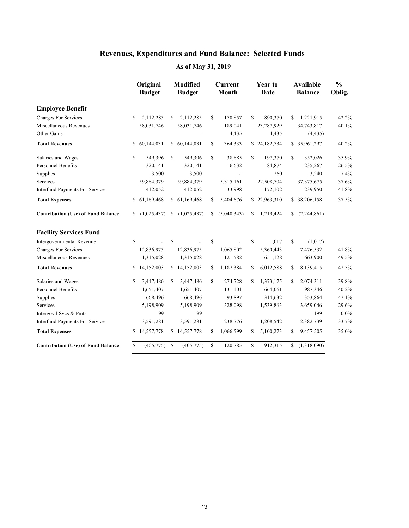|                                           |    | Original<br><b>Budget</b> |             | <b>Modified</b><br><b>Budget</b> |               | <b>Current</b><br>Month |              | <b>Year to</b><br>Date |     | Available<br><b>Balance</b> | $\frac{0}{0}$<br>Oblig. |
|-------------------------------------------|----|---------------------------|-------------|----------------------------------|---------------|-------------------------|--------------|------------------------|-----|-----------------------------|-------------------------|
| <b>Employee Benefit</b>                   |    |                           |             |                                  |               |                         |              |                        |     |                             |                         |
| <b>Charges For Services</b>               | S. | 2,112,285                 | \$          | 2,112,285                        | \$            | 170,857                 | S.           | 890,370                | \$. | 1,221,915                   | 42.2%                   |
| Miscellaneous Revenues                    |    | 58,031,746                |             | 58,031,746                       |               | 189,041                 |              | 23,287,929             |     | 34,743,817                  | 40.1%                   |
| Other Gains                               |    |                           |             |                                  |               | 4,435                   |              | 4,435                  |     | (4, 435)                    |                         |
| <b>Total Revenues</b>                     |    | \$60,144,031              |             | \$ 60,144,031                    | \$            | 364,333                 |              | \$24,182,734           |     | \$35,961,297                | 40.2%                   |
| Salaries and Wages                        | \$ | 549,396                   | S           | 549,396                          | \$            | 38,885                  | \$           | 197,370                | S.  | 352,026                     | 35.9%                   |
| <b>Personnel Benefits</b>                 |    | 320.141                   |             | 320,141                          |               | 16,632                  |              | 84,874                 |     | 235,267                     | 26.5%                   |
| Supplies                                  |    | 3,500                     |             | 3,500                            |               |                         |              | 260                    |     | 3,240                       | 7.4%                    |
| Services                                  |    | 59,884,379                |             | 59,884,379                       |               | 5,315,161               |              | 22,508,704             |     | 37, 375, 675                | 37.6%                   |
| Interfund Payments For Service            |    | 412,052                   |             | 412,052                          |               | 33,998                  |              | 172,102                |     | 239,950                     | 41.8%                   |
| <b>Total Expenses</b>                     |    | \$61,169,468              |             | \$61,169,468                     | \$            | 5,404,676               |              | \$22,963,310           |     | \$38,206,158                | 37.5%                   |
| <b>Contribution (Use) of Fund Balance</b> |    | (1,025,437)               |             | (1,025,437)                      | \$            | (5,040,343)             | $\mathbb{S}$ | 1,219,424              |     | (2,244,861)                 |                         |
| <b>Facility Services Fund</b>             |    |                           |             |                                  |               |                         |              |                        |     |                             |                         |
| Intergovernmental Revenue                 | \$ |                           | S           |                                  | \$            |                         | \$           | 1,017                  | \$  | (1,017)                     |                         |
| Charges For Services                      |    | 12,836,975                |             | 12,836,975                       |               | 1,065,802               |              | 5,360,443              |     | 7,476,532                   | 41.8%                   |
| Miscellaneous Revenues                    |    | 1,315,028                 |             | 1,315,028                        |               | 121,582                 |              | 651,128                |     | 663,900                     | 49.5%                   |
| <b>Total Revenues</b>                     |    | \$14,152,003              |             | \$14,152,003                     | \$            | 1,187,384               | \$           | 6,012,588              | \$  | 8,139,415                   | 42.5%                   |
| Salaries and Wages                        | \$ | 3,447,486                 | \$          | 3,447,486                        | \$            | 274,728                 | \$           | 1,373,175              | \$  | 2,074,311                   | 39.8%                   |
| <b>Personnel Benefits</b>                 |    | 1,651,407                 |             | 1,651,407                        |               | 131,101                 |              | 664,061                |     | 987,346                     | 40.2%                   |
| Supplies                                  |    | 668,496                   |             | 668,496                          |               | 93,897                  |              | 314,632                |     | 353,864                     | 47.1%                   |
| Services                                  |    | 5,198,909                 |             | 5,198,909                        |               | 328,098                 |              | 1,539,863              |     | 3,659,046                   | 29.6%                   |
| Intergovtl Svcs & Pmts                    |    | 199                       |             | 199                              |               |                         |              |                        |     | 199                         | $0.0\%$                 |
| Interfund Payments For Service            |    | 3,591,281                 |             | 3,591,281                        |               | 238,776                 |              | 1,208,542              |     | 2,382,739                   | 33.7%                   |
| <b>Total Expenses</b>                     | \$ | 14,557,778                |             | \$14,557,778                     | \$            | 1,066,599               | S.           | 5,100,273              | S   | 9,457,505                   | 35.0%                   |
| <b>Contribution (Use) of Fund Balance</b> | \$ | (405, 775)                | $\mathbf S$ | (405, 775)                       | <sup>\$</sup> | 120,785                 | \$           | 912,315                |     | \$(1,318,090)               |                         |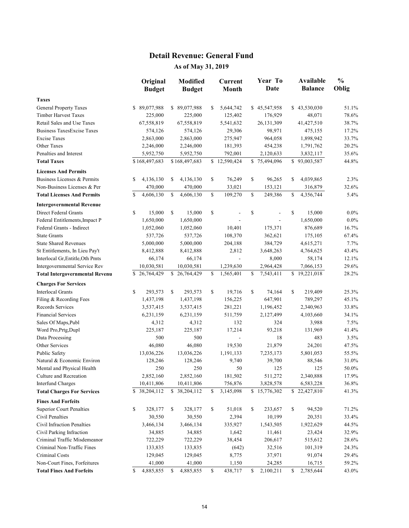#### **Detail Revenue: General Fund**

|                                       |    | Original<br><b>Budget</b> | <b>Modified</b>  | <b>Current</b><br>Month  | Year To<br><b>Date</b> | Available<br><b>Balance</b> | $\frac{0}{0}$<br>Oblig |
|---------------------------------------|----|---------------------------|------------------|--------------------------|------------------------|-----------------------------|------------------------|
|                                       |    |                           | <b>Budget</b>    |                          |                        |                             |                        |
| <b>Taxes</b>                          |    |                           |                  |                          |                        |                             |                        |
| <b>General Property Taxes</b>         |    | \$89,077,988              | \$<br>89,077,988 | \$<br>5,644,742          | \$45,547,958           | \$43,530,030                | 51.1%                  |
| <b>Timber Harvest Taxes</b>           |    | 225,000                   | 225,000          | 125,402                  | 176,929                | 48,071                      | 78.6%                  |
| Retail Sales and Use Taxes            |    | 67,558,819                | 67,558,819       | 5,541,632                | 26, 131, 309           | 41,427,510                  | 38.7%                  |
| <b>Business TaxesExcise Taxes</b>     |    | 574,126                   | 574,126          | 29,306                   | 98,971                 | 475,155                     | 17.2%                  |
| <b>Excise Taxes</b>                   |    | 2,863,000                 | 2,863,000        | 275,947                  | 964,058                | 1,898,942                   | 33.7%                  |
| Other Taxes                           |    | 2,246,000                 | 2,246,000        | 181,393                  | 454,238                | 1,791,762                   | 20.2%                  |
| Penalties and Interest                |    | 5,952,750                 | 5,952,750        | 792,001                  | 2,120,633              | 3,832,117                   | 35.6%                  |
| <b>Total Taxes</b>                    |    | \$168,497,683             | \$168,497,683    | \$12,590,424             | \$75,494,096           | \$93,003,587                | 44.8%                  |
| <b>Licenses And Permits</b>           |    |                           |                  |                          |                        |                             |                        |
| Business Licenses & Permits           | S  | 4,136,130                 | \$<br>4,136,130  | \$<br>76,249             | \$<br>96,265           | \$<br>4,039,865             | 2.3%                   |
| Non-Business Licenses & Per           |    | 470,000                   | 470,000          | 33,021                   | 153,121                | 316,879                     | 32.6%                  |
| <b>Total Licenses And Permits</b>     | S  | 4,606,130                 | \$<br>4,606,130  | \$<br>109,270            | \$<br>249,386          | \$<br>4,356,744             | 5.4%                   |
| <b>Intergovernmental Revenue</b>      |    |                           |                  |                          |                        |                             |                        |
| Direct Federal Grants                 | S  | 15,000                    | \$<br>15,000     | \$                       | \$                     | \$<br>15,000                | $0.0\%$                |
| Federal Entitlements, Impact P        |    | 1,650,000                 | 1,650,000        |                          |                        | 1,650,000                   | $0.0\%$                |
| Federal Grants - Indirect             |    | 1,052,060                 | 1,052,060        | 10,401                   | 175,371                | 876,689                     | 16.7%                  |
| <b>State Grants</b>                   |    | 537,726                   | 537,726          | 108,370                  | 362,621                | 175,105                     | 67.4%                  |
| <b>State Shared Revenues</b>          |    | 5,000,000                 | 5,000,000        | 204,188                  | 384,729                | 4,615,271                   | 7.7%                   |
| St Entitlements, In Lieu Pay't        |    | 8,412,888                 | 8,412,888        | 2,812                    | 3,648,263              | 4,764,625                   | 43.4%                  |
| Interlocal Gr, Entitle, Oth Pmts      |    | 66,174                    | 66,174           | $\overline{\phantom{a}}$ | 8,000                  | 58,174                      | 12.1%                  |
| Intergovernmental Service Rev         |    | 10,030,581                | 10,030,581       | 1,239,630                | 2,964,428              | 7,066,153                   | 29.6%                  |
| <b>Total Intergovernmental Revenu</b> |    | \$26,764,429              | \$26,764,429     | \$<br>1,565,401          | \$<br>7,543,411        | \$19,221,018                | 28.2%                  |
| <b>Charges For Services</b>           |    |                           |                  |                          |                        |                             |                        |
| <b>Interlocal Grants</b>              | \$ | 293,573                   | \$<br>293,573    | \$<br>19,716             | \$<br>74,164           | \$<br>219,409               | 25.3%                  |
| Filing & Recording Fees               |    | 1,437,198                 | 1,437,198        | 156,225                  | 647,901                | 789,297                     | 45.1%                  |
| Records Services                      |    | 3,537,415                 | 3,537,415        | 281,221                  | 1,196,452              | 2,340,963                   | 33.8%                  |
| <b>Financial Services</b>             |    | 6,231,159                 | 6,231,159        | 511,759                  | 2,127,499              | 4,103,660                   | 34.1%                  |
| Sales Of Maps, Publ                   |    | 4,312                     | 4,312            | 132                      | 324                    | 3,988                       | 7.5%                   |
| Word Pro, Prtg, Dupl                  |    | 225,187                   | 225,187          | 17,214                   | 93,218                 | 131,969                     | 41.4%                  |
| Data Processing                       |    | 500                       | 500              | $\blacksquare$           | 18                     | 483                         | 3.5%                   |
| Other Services                        |    | 46,080                    | 46,080           | 19,530                   | 21,879                 | 24,201                      | 47.5%                  |
| Public Safety                         |    | 13,036,226                | 13,036,226       | 1,191,133                | 7,235,173              | 5,801,053                   | 55.5%                  |
| Natural & Economic Environ            |    | 128,246                   | 128,246          | 9,740                    | 39,700                 | 88,546                      | 31.0%                  |
| Mental and Physical Health            |    | 250                       | 250              | 50                       | 125                    | 125                         | 50.0%                  |
| Culture and Recreation                |    | 2,852,160                 | 2,852,160        | 181,502                  | 511,272                | 2,340,888                   | 17.9%                  |
| <b>Interfund Charges</b>              |    | 10,411,806                | 10,411,806       | 756,876                  | 3,828,578              | 6,583,228                   | 36.8%                  |
| <b>Total Charges For Services</b>     |    | \$ 38,204,112             | \$ 38,204,112    | \$<br>3,145,098          | \$15,776,302           | \$22,427,810                | 41.3%                  |
| <b>Fines And Forfeits</b>             |    |                           |                  |                          |                        |                             |                        |
| <b>Superior Court Penalties</b>       | \$ | 328,177                   | \$<br>328,177    | \$<br>51,018             | \$<br>233,657          | \$<br>94,520                | 71.2%                  |
| Civil Penalties                       |    | 30,550                    | 30,550           | 2,394                    | 10,199                 | 20,351                      | 33.4%                  |
| Civil Infraction Penalties            |    | 3,466,134                 | 3,466,134        | 335,927                  | 1,543,505              | 1,922,629                   | 44.5%                  |
| Civil Parking Infraction              |    | 34,885                    | 34,885           | 1,642                    | 11,461                 | 23,424                      | 32.9%                  |
| Criminal Traffic Misdemeanor          |    | 722,229                   | 722,229          | 38,454                   | 206,617                | 515,612                     | 28.6%                  |
| Criminal Non-Traffic Fines            |    | 133,835                   | 133,835          | (642)                    | 32,516                 | 101,319                     | 24.3%                  |
| Criminal Costs                        |    | 129,045                   | 129,045          | 8,775                    | 37,971                 | 91,074                      | 29.4%                  |
| Non-Court Fines, Forfeitures          |    | 41,000                    | 41,000           | 1,150                    | 24,285                 | 16,715                      | 59.2%                  |
| <b>Total Fines And Forfeits</b>       | \$ | 4,885,855                 | \$<br>4,885,855  | \$<br>438,717            | \$<br>2,100,211        | \$<br>2,785,644             | 43.0%                  |